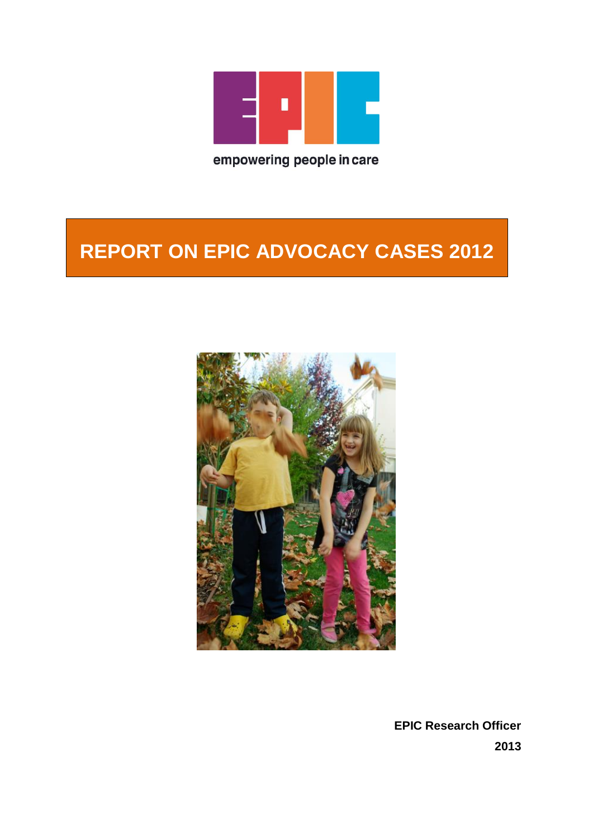

# **REPORT ON EPIC ADVOCACY CASES 2012**



**EPIC Research Officer 2013**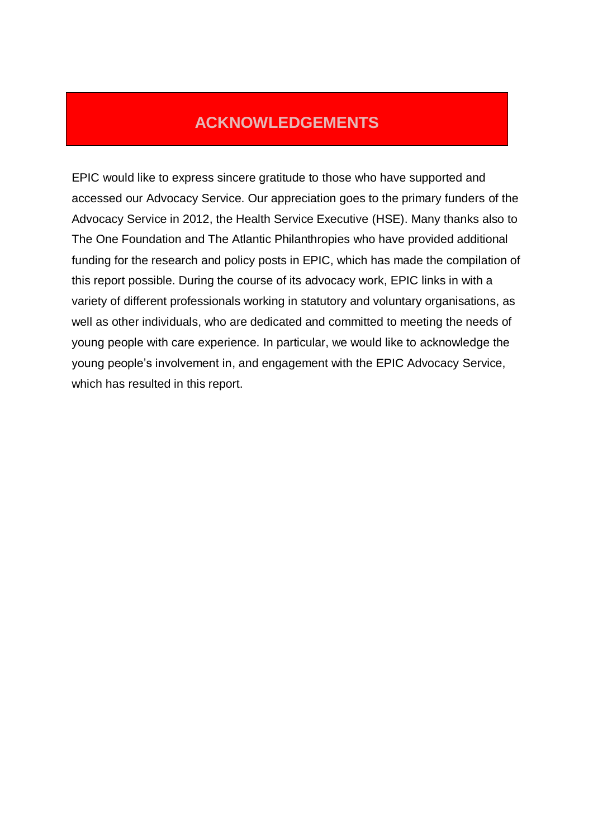## **ACKNOWLEDGEMENTS**

EPIC would like to express sincere gratitude to those who have supported and accessed our Advocacy Service. Our appreciation goes to the primary funders of the Advocacy Service in 2012, the Health Service Executive (HSE). Many thanks also to The One Foundation and The Atlantic Philanthropies who have provided additional funding for the research and policy posts in EPIC, which has made the compilation of this report possible. During the course of its advocacy work, EPIC links in with a variety of different professionals working in statutory and voluntary organisations, as well as other individuals, who are dedicated and committed to meeting the needs of young people with care experience. In particular, we would like to acknowledge the young people's involvement in, and engagement with the EPIC Advocacy Service, which has resulted in this report.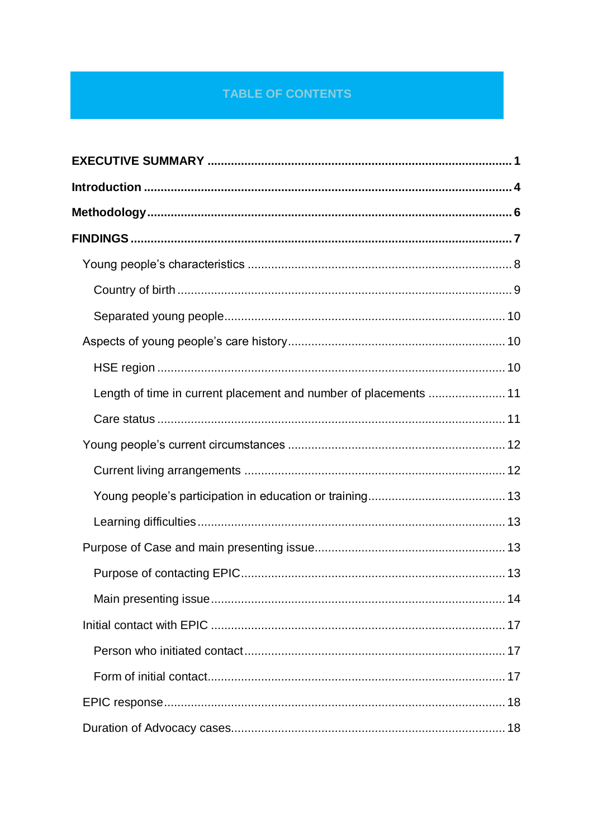#### TABLE OF CONTENTS

| Length of time in current placement and number of placements  11 |    |
|------------------------------------------------------------------|----|
|                                                                  |    |
|                                                                  |    |
|                                                                  |    |
|                                                                  |    |
|                                                                  |    |
|                                                                  |    |
|                                                                  |    |
|                                                                  | 14 |
|                                                                  |    |
|                                                                  |    |
|                                                                  |    |
|                                                                  |    |
|                                                                  |    |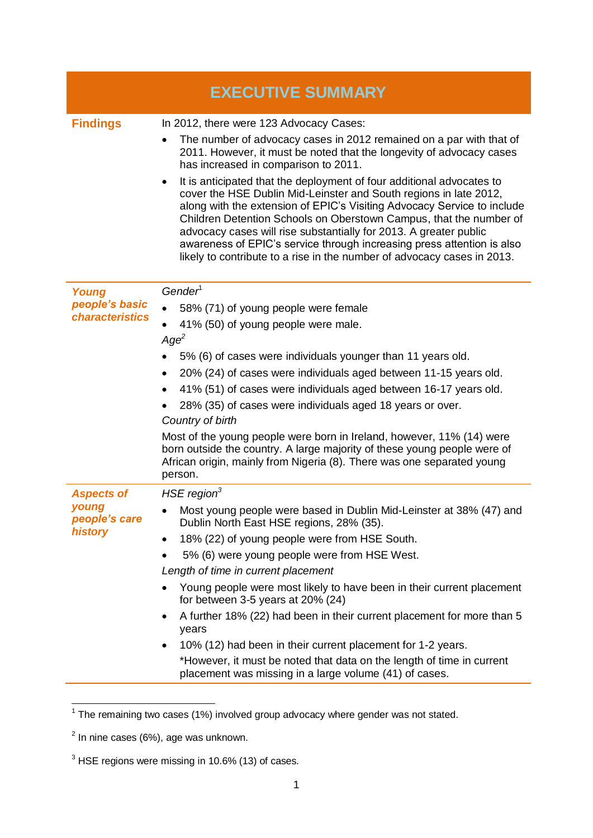<span id="page-4-0"></span>

| <b>EXECUTIVE SUMMARY</b>                               |                                                                                                                                                                                                                                                                                                                                                                                                                                                                                                                                                                                                                                                                                                                                                         |  |
|--------------------------------------------------------|---------------------------------------------------------------------------------------------------------------------------------------------------------------------------------------------------------------------------------------------------------------------------------------------------------------------------------------------------------------------------------------------------------------------------------------------------------------------------------------------------------------------------------------------------------------------------------------------------------------------------------------------------------------------------------------------------------------------------------------------------------|--|
| <b>Findings</b>                                        | In 2012, there were 123 Advocacy Cases:<br>The number of advocacy cases in 2012 remained on a par with that of<br>2011. However, it must be noted that the longevity of advocacy cases<br>has increased in comparison to 2011.<br>It is anticipated that the deployment of four additional advocates to<br>cover the HSE Dublin Mid-Leinster and South regions in late 2012,<br>along with the extension of EPIC's Visiting Advocacy Service to include<br>Children Detention Schools on Oberstown Campus, that the number of<br>advocacy cases will rise substantially for 2013. A greater public<br>awareness of EPIC's service through increasing press attention is also<br>likely to contribute to a rise in the number of advocacy cases in 2013. |  |
| Young<br>people's basic<br><b>characteristics</b>      | Gender <sup>1</sup><br>58% (71) of young people were female<br>41% (50) of young people were male.<br>Age <sup>2</sup><br>5% (6) of cases were individuals younger than 11 years old.<br>20% (24) of cases were individuals aged between 11-15 years old.<br>41% (51) of cases were individuals aged between 16-17 years old.<br>28% (35) of cases were individuals aged 18 years or over.<br>Country of birth<br>Most of the young people were born in Ireland, however, 11% (14) were<br>born outside the country. A large majority of these young people were of<br>African origin, mainly from Nigeria (8). There was one separated young<br>person.                                                                                                |  |
| <b>Aspects of</b><br>young<br>people's care<br>history | HSE region $3$<br>Most young people were based in Dublin Mid-Leinster at 38% (47) and<br>Dublin North East HSE regions, 28% (35).<br>18% (22) of young people were from HSE South.<br>5% (6) were young people were from HSE West.<br>Length of time in current placement<br>Young people were most likely to have been in their current placement<br>for between 3-5 years at $20\%$ (24)<br>A further 18% (22) had been in their current placement for more than 5<br>years<br>10% (12) had been in their current placement for 1-2 years.<br>*However, it must be noted that data on the length of time in current<br>placement was missing in a large volume (41) of cases.                                                                         |  |

<sup>————————————————————&</sup>lt;br><sup>1</sup> The remaining two cases (1%) involved group advocacy where gender was not stated.

 $2$  In nine cases (6%), age was unknown.

 $3$  HSE regions were missing in 10.6% (13) of cases.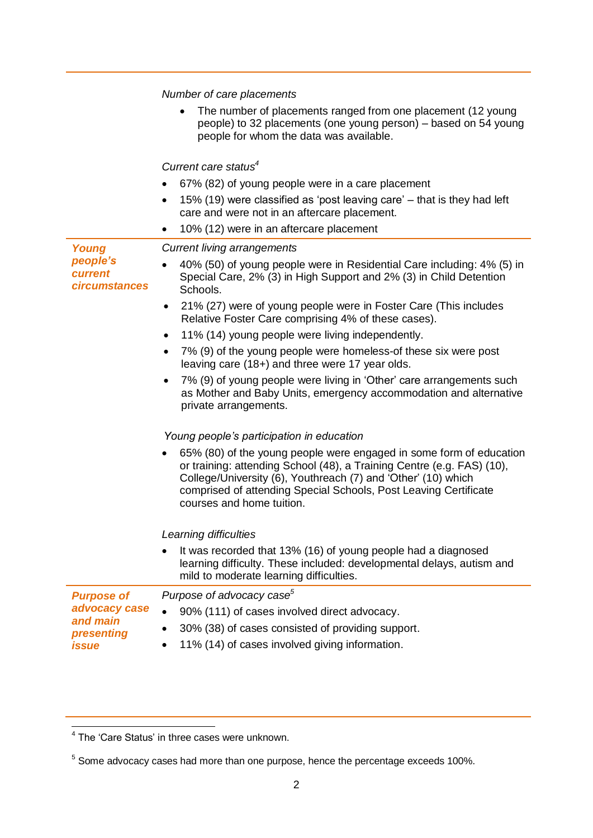|                                                      | Number of care placements                                                                                                                                                                                                                                                                                       |
|------------------------------------------------------|-----------------------------------------------------------------------------------------------------------------------------------------------------------------------------------------------------------------------------------------------------------------------------------------------------------------|
|                                                      | The number of placements ranged from one placement (12 young<br>people) to 32 placements (one young person) – based on 54 young<br>people for whom the data was available.                                                                                                                                      |
|                                                      | Current care status <sup>4</sup>                                                                                                                                                                                                                                                                                |
|                                                      | 67% (82) of young people were in a care placement                                                                                                                                                                                                                                                               |
|                                                      | 15% (19) were classified as 'post leaving care' – that is they had left<br>care and were not in an aftercare placement.                                                                                                                                                                                         |
|                                                      | 10% (12) were in an aftercare placement                                                                                                                                                                                                                                                                         |
| Young<br>people's<br>current<br><b>circumstances</b> | <b>Current living arrangements</b>                                                                                                                                                                                                                                                                              |
|                                                      | 40% (50) of young people were in Residential Care including: 4% (5) in<br>Special Care, 2% (3) in High Support and 2% (3) in Child Detention<br>Schools.                                                                                                                                                        |
|                                                      | 21% (27) were of young people were in Foster Care (This includes<br>Relative Foster Care comprising 4% of these cases).                                                                                                                                                                                         |
|                                                      | 11% (14) young people were living independently.<br>$\bullet$                                                                                                                                                                                                                                                   |
|                                                      | 7% (9) of the young people were homeless-of these six were post<br>$\bullet$<br>leaving care (18+) and three were 17 year olds.                                                                                                                                                                                 |
|                                                      | 7% (9) of young people were living in 'Other' care arrangements such<br>$\bullet$<br>as Mother and Baby Units, emergency accommodation and alternative<br>private arrangements.                                                                                                                                 |
|                                                      | Young people's participation in education                                                                                                                                                                                                                                                                       |
|                                                      | 65% (80) of the young people were engaged in some form of education<br>or training: attending School (48), a Training Centre (e.g. FAS) (10),<br>College/University (6), Youthreach (7) and 'Other' (10) which<br>comprised of attending Special Schools, Post Leaving Certificate<br>courses and home tuition. |
|                                                      | Learning difficulties                                                                                                                                                                                                                                                                                           |
|                                                      | It was recorded that 13% (16) of young people had a diagnosed<br>learning difficulty. These included: developmental delays, autism and<br>mild to moderate learning difficulties.                                                                                                                               |
| <b>Purpose of</b>                                    | Purpose of advocacy case <sup>5</sup>                                                                                                                                                                                                                                                                           |
| advocacy case                                        | 90% (111) of cases involved direct advocacy.                                                                                                                                                                                                                                                                    |
| and main<br>presenting                               | 30% (38) of cases consisted of providing support.<br>11% (14) of cases involved giving information.                                                                                                                                                                                                             |
| issue                                                |                                                                                                                                                                                                                                                                                                                 |

 4 The 'Care Status' in three cases were unknown.

 $<sup>5</sup>$  Some advocacy cases had more than one purpose, hence the percentage exceeds 100%.</sup>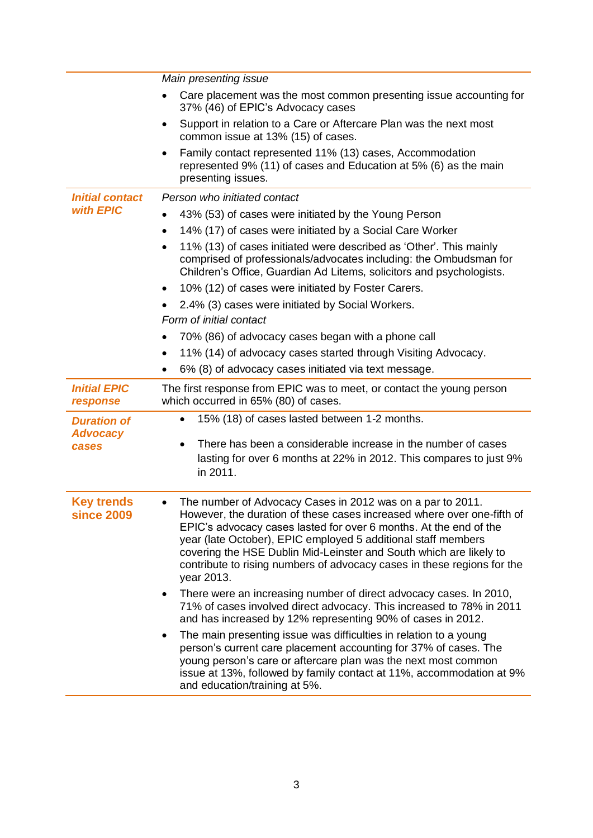|                                                | Main presenting issue                                                                                                                                                                                                                                                                                                                                                                                                                     |
|------------------------------------------------|-------------------------------------------------------------------------------------------------------------------------------------------------------------------------------------------------------------------------------------------------------------------------------------------------------------------------------------------------------------------------------------------------------------------------------------------|
|                                                | Care placement was the most common presenting issue accounting for<br>37% (46) of EPIC's Advocacy cases                                                                                                                                                                                                                                                                                                                                   |
|                                                | Support in relation to a Care or Aftercare Plan was the next most<br>٠<br>common issue at 13% (15) of cases.                                                                                                                                                                                                                                                                                                                              |
|                                                | Family contact represented 11% (13) cases, Accommodation<br>$\bullet$<br>represented 9% (11) of cases and Education at 5% (6) as the main<br>presenting issues.                                                                                                                                                                                                                                                                           |
| <b>Initial contact</b>                         | Person who initiated contact                                                                                                                                                                                                                                                                                                                                                                                                              |
| with <b>EPIC</b>                               | 43% (53) of cases were initiated by the Young Person                                                                                                                                                                                                                                                                                                                                                                                      |
|                                                | 14% (17) of cases were initiated by a Social Care Worker<br>$\bullet$                                                                                                                                                                                                                                                                                                                                                                     |
|                                                | 11% (13) of cases initiated were described as 'Other'. This mainly<br>comprised of professionals/advocates including: the Ombudsman for<br>Children's Office, Guardian Ad Litems, solicitors and psychologists.                                                                                                                                                                                                                           |
|                                                | 10% (12) of cases were initiated by Foster Carers.<br>٠                                                                                                                                                                                                                                                                                                                                                                                   |
|                                                | 2.4% (3) cases were initiated by Social Workers.                                                                                                                                                                                                                                                                                                                                                                                          |
|                                                | Form of initial contact                                                                                                                                                                                                                                                                                                                                                                                                                   |
|                                                | 70% (86) of advocacy cases began with a phone call                                                                                                                                                                                                                                                                                                                                                                                        |
|                                                | 11% (14) of advocacy cases started through Visiting Advocacy.                                                                                                                                                                                                                                                                                                                                                                             |
|                                                | 6% (8) of advocacy cases initiated via text message.                                                                                                                                                                                                                                                                                                                                                                                      |
| <b>Initial EPIC</b><br>response                | The first response from EPIC was to meet, or contact the young person<br>which occurred in 65% (80) of cases.                                                                                                                                                                                                                                                                                                                             |
| <b>Duration of</b><br><b>Advocacy</b><br>cases | 15% (18) of cases lasted between 1-2 months.                                                                                                                                                                                                                                                                                                                                                                                              |
|                                                | There has been a considerable increase in the number of cases<br>٠<br>lasting for over 6 months at 22% in 2012. This compares to just 9%<br>in 2011.                                                                                                                                                                                                                                                                                      |
| <b>Key trends</b><br><b>since 2009</b>         | The number of Advocacy Cases in 2012 was on a par to 2011.<br>However, the duration of these cases increased where over one-fifth of<br>EPIC's advocacy cases lasted for over 6 months. At the end of the<br>year (late October), EPIC employed 5 additional staff members<br>covering the HSE Dublin Mid-Leinster and South which are likely to<br>contribute to rising numbers of advocacy cases in these regions for the<br>year 2013. |
|                                                | There were an increasing number of direct advocacy cases. In 2010,<br>$\bullet$<br>71% of cases involved direct advocacy. This increased to 78% in 2011<br>and has increased by 12% representing 90% of cases in 2012.                                                                                                                                                                                                                    |
|                                                | The main presenting issue was difficulties in relation to a young<br>person's current care placement accounting for 37% of cases. The<br>young person's care or aftercare plan was the next most common<br>issue at 13%, followed by family contact at 11%, accommodation at 9%<br>and education/training at 5%.                                                                                                                          |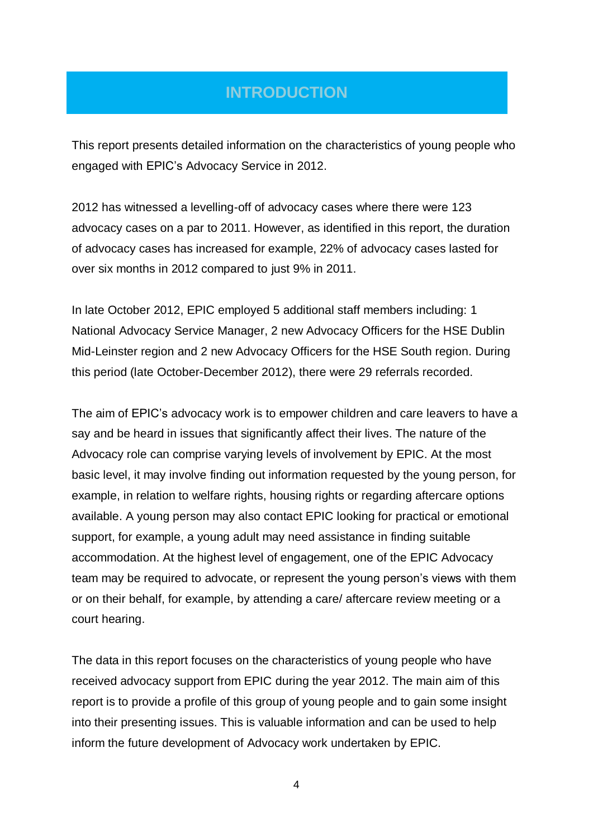## **INTRODUCTION**

<span id="page-7-0"></span>This report presents detailed information on the characteristics of young people who engaged with EPIC's Advocacy Service in 2012.

2012 has witnessed a levelling-off of advocacy cases where there were 123 advocacy cases on a par to 2011. However, as identified in this report, the duration of advocacy cases has increased for example, 22% of advocacy cases lasted for over six months in 2012 compared to just 9% in 2011.

In late October 2012, EPIC employed 5 additional staff members including: 1 National Advocacy Service Manager, 2 new Advocacy Officers for the HSE Dublin Mid-Leinster region and 2 new Advocacy Officers for the HSE South region. During this period (late October-December 2012), there were 29 referrals recorded.

The aim of EPIC's advocacy work is to empower children and care leavers to have a say and be heard in issues that significantly affect their lives. The nature of the Advocacy role can comprise varying levels of involvement by EPIC. At the most basic level, it may involve finding out information requested by the young person, for example, in relation to welfare rights, housing rights or regarding aftercare options available. A young person may also contact EPIC looking for practical or emotional support, for example, a young adult may need assistance in finding suitable accommodation. At the highest level of engagement, one of the EPIC Advocacy team may be required to advocate, or represent the young person's views with them or on their behalf, for example, by attending a care/ aftercare review meeting or a court hearing.

The data in this report focuses on the characteristics of young people who have received advocacy support from EPIC during the year 2012. The main aim of this report is to provide a profile of this group of young people and to gain some insight into their presenting issues. This is valuable information and can be used to help inform the future development of Advocacy work undertaken by EPIC.

4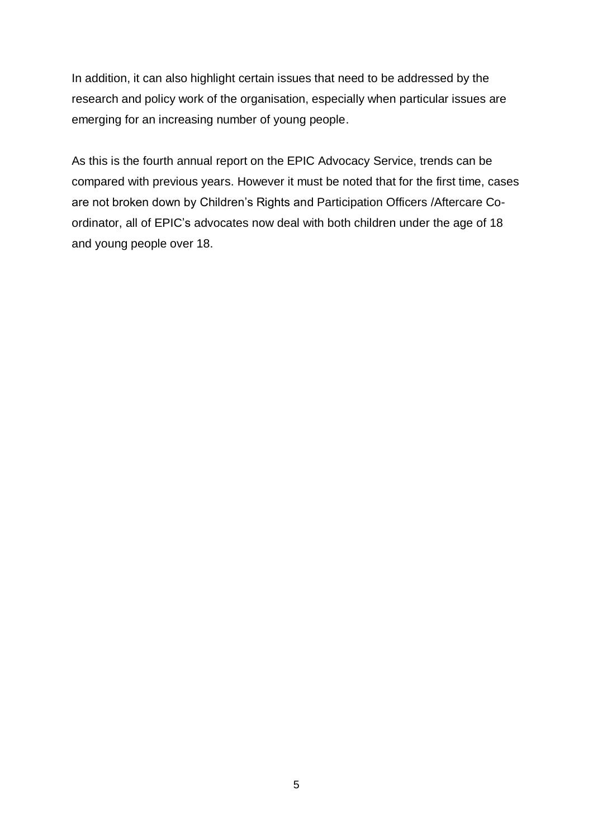In addition, it can also highlight certain issues that need to be addressed by the research and policy work of the organisation, especially when particular issues are emerging for an increasing number of young people.

As this is the fourth annual report on the EPIC Advocacy Service, trends can be compared with previous years. However it must be noted that for the first time, cases are not broken down by Children's Rights and Participation Officers /Aftercare Coordinator, all of EPIC's advocates now deal with both children under the age of 18 and young people over 18.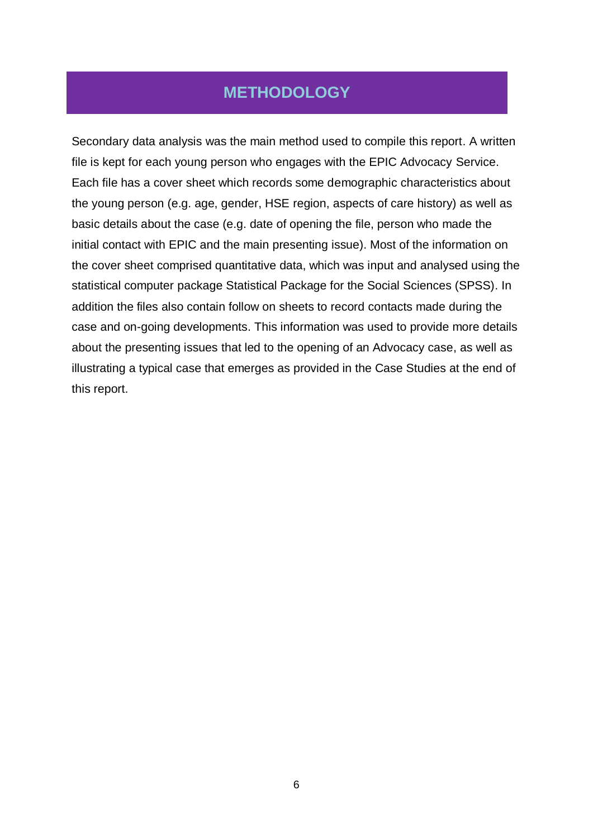## <span id="page-9-0"></span>**METHODOLOGY**

Secondary data analysis was the main method used to compile this report. A written file is kept for each young person who engages with the EPIC Advocacy Service. Each file has a cover sheet which records some demographic characteristics about the young person (e.g. age, gender, HSE region, aspects of care history) as well as basic details about the case (e.g. date of opening the file, person who made the initial contact with EPIC and the main presenting issue). Most of the information on the cover sheet comprised quantitative data, which was input and analysed using the statistical computer package Statistical Package for the Social Sciences (SPSS). In addition the files also contain follow on sheets to record contacts made during the case and on-going developments. This information was used to provide more details about the presenting issues that led to the opening of an Advocacy case, as well as illustrating a typical case that emerges as provided in the Case Studies at the end of this report.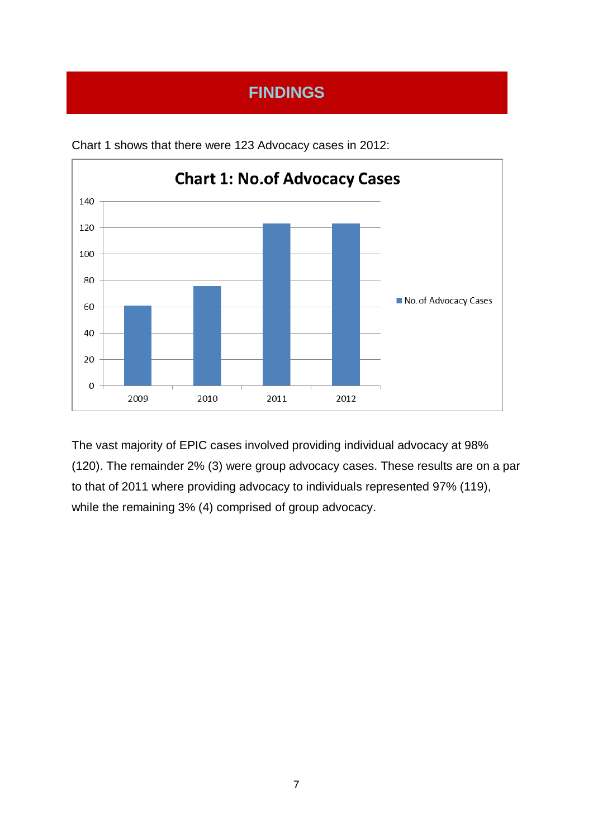## <span id="page-10-0"></span>**FINDINGS**



Chart 1 shows that there were 123 Advocacy cases in 2012:

The vast majority of EPIC cases involved providing individual advocacy at 98% (120). The remainder 2% (3) were group advocacy cases. These results are on a par to that of 2011 where providing advocacy to individuals represented 97% (119), while the remaining 3% (4) comprised of group advocacy.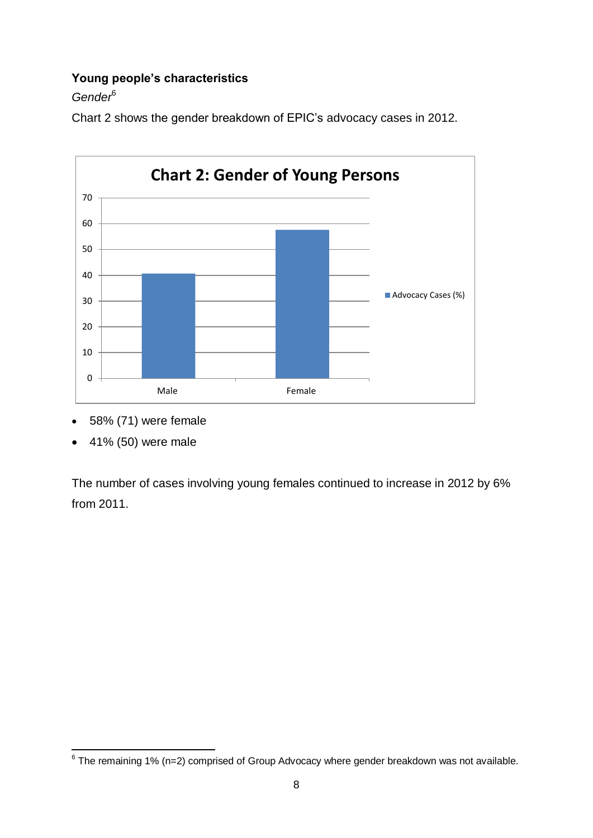#### <span id="page-11-0"></span>**Young people's characteristics**

*Gender*<sup>6</sup>

Chart 2 shows the gender breakdown of EPIC's advocacy cases in 2012.



- 58% (71) were female
- $\bullet$  41% (50) were male

The number of cases involving young females continued to increase in 2012 by 6% from 2011.

 6 The remaining 1% (n=2) comprised of Group Advocacy where gender breakdown was not available.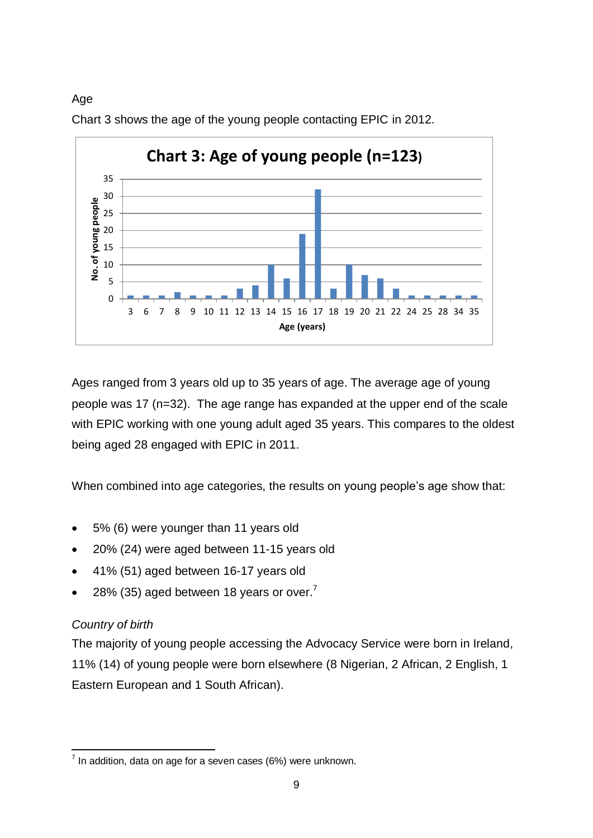#### **Chart 3: Age of young people (n=123)** 35 30 No. of young people **No. of young people** 25 20 15 10 5 0 3 6 7 8 9 10 11 12 13 14 15 16 17 18 19 20 21 22 24 25 28 34 35 **Age (years)**

Chart 3 shows the age of the young people contacting EPIC in 2012.

Ages ranged from 3 years old up to 35 years of age. The average age of young people was 17 (n=32). The age range has expanded at the upper end of the scale with EPIC working with one young adult aged 35 years. This compares to the oldest being aged 28 engaged with EPIC in 2011.

When combined into age categories, the results on young people's age show that:

- 5% (6) were younger than 11 years old
- 20% (24) were aged between 11-15 years old
- 41% (51) aged between 16-17 years old
- 28% (35) aged between 18 years or over.<sup>7</sup>

#### <span id="page-12-0"></span>*Country of birth*

Age

The majority of young people accessing the Advocacy Service were born in Ireland, 11% (14) of young people were born elsewhere (8 Nigerian, 2 African, 2 English, 1 Eastern European and 1 South African).

 7 In addition, data on age for a seven cases (6%) were unknown.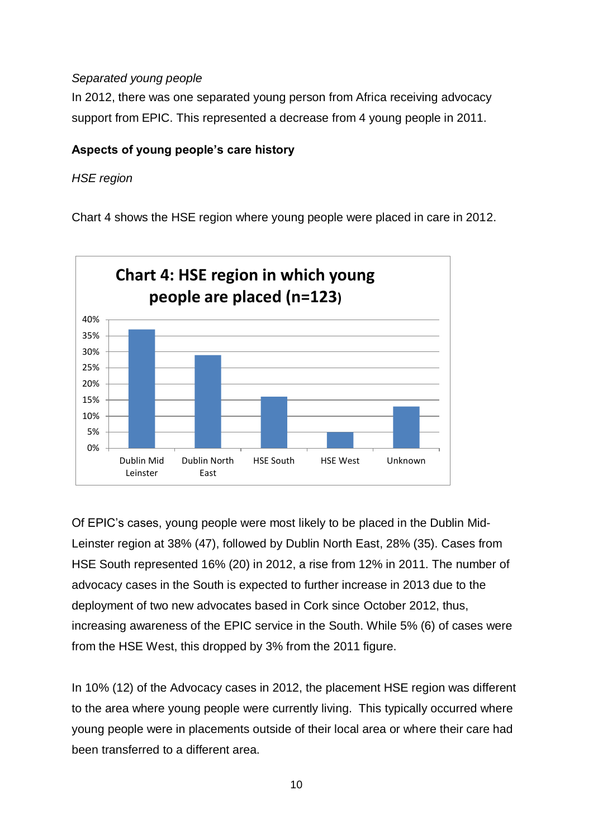#### <span id="page-13-0"></span>*Separated young people*

In 2012, there was one separated young person from Africa receiving advocacy support from EPIC. This represented a decrease from 4 young people in 2011.

#### <span id="page-13-1"></span>**Aspects of young people's care history**

#### <span id="page-13-2"></span>*HSE region*

Chart 4 shows the HSE region where young people were placed in care in 2012.



Of EPIC's cases, young people were most likely to be placed in the Dublin Mid-Leinster region at 38% (47), followed by Dublin North East, 28% (35). Cases from HSE South represented 16% (20) in 2012, a rise from 12% in 2011. The number of advocacy cases in the South is expected to further increase in 2013 due to the deployment of two new advocates based in Cork since October 2012, thus, increasing awareness of the EPIC service in the South. While 5% (6) of cases were from the HSE West, this dropped by 3% from the 2011 figure.

In 10% (12) of the Advocacy cases in 2012, the placement HSE region was different to the area where young people were currently living. This typically occurred where young people were in placements outside of their local area or where their care had been transferred to a different area.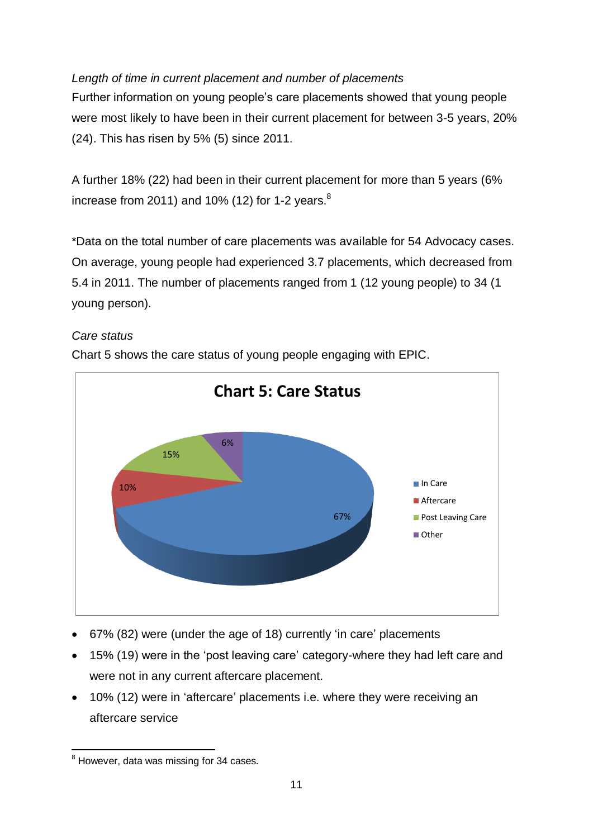#### <span id="page-14-0"></span>*Length of time in current placement and number of placements*

Further information on young people's care placements showed that young people were most likely to have been in their current placement for between 3-5 years, 20% (24). This has risen by 5% (5) since 2011.

A further 18% (22) had been in their current placement for more than 5 years (6% increase from 2011) and 10% (12) for 1-2 years. $8$ 

\*Data on the total number of care placements was available for 54 Advocacy cases. On average, young people had experienced 3.7 placements, which decreased from 5.4 in 2011. The number of placements ranged from 1 (12 young people) to 34 (1 young person).

#### <span id="page-14-1"></span>*Care status*

Chart 5 shows the care status of young people engaging with EPIC.



- 67% (82) were (under the age of 18) currently 'in care' placements
- 15% (19) were in the 'post leaving care' category-where they had left care and were not in any current aftercare placement.
- 10% (12) were in 'aftercare' placements i.e. where they were receiving an aftercare service

 $\overline{\phantom{a}}$  $8$  However, data was missing for 34 cases.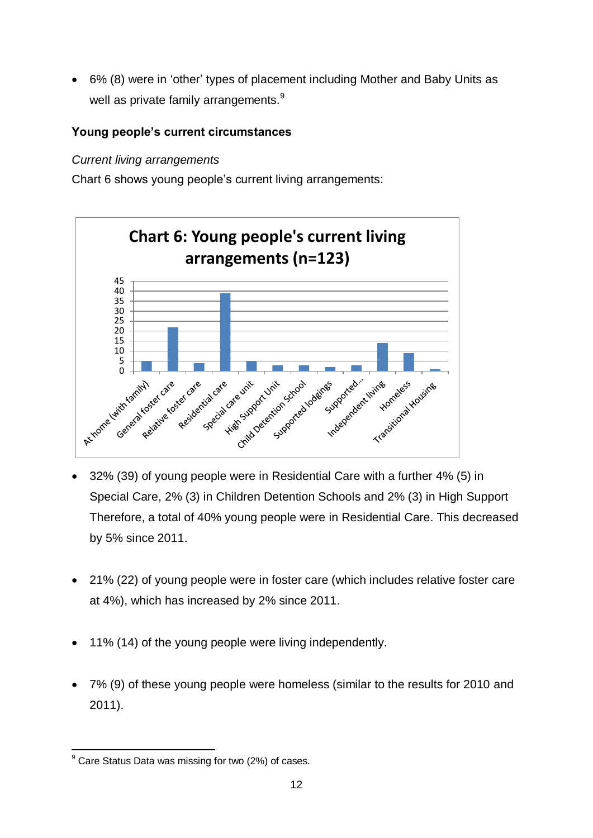6% (8) were in 'other' types of placement including Mother and Baby Units as well as private family arrangements.<sup>9</sup>

#### <span id="page-15-0"></span>**Young people's current circumstances**

#### <span id="page-15-1"></span>*Current living arrangements*

Chart 6 shows young people's current living arrangements:



- 32% (39) of young people were in Residential Care with a further 4% (5) in Special Care, 2% (3) in Children Detention Schools and 2% (3) in High Support Therefore, a total of 40% young people were in Residential Care. This decreased by 5% since 2011.
- 21% (22) of young people were in foster care (which includes relative foster care at 4%), which has increased by 2% since 2011.
- 11% (14) of the young people were living independently.
- 7% (9) of these young people were homeless (similar to the results for 2010 and 2011).

 $\overline{\phantom{a}}$  $9$  Care Status Data was missing for two (2%) of cases.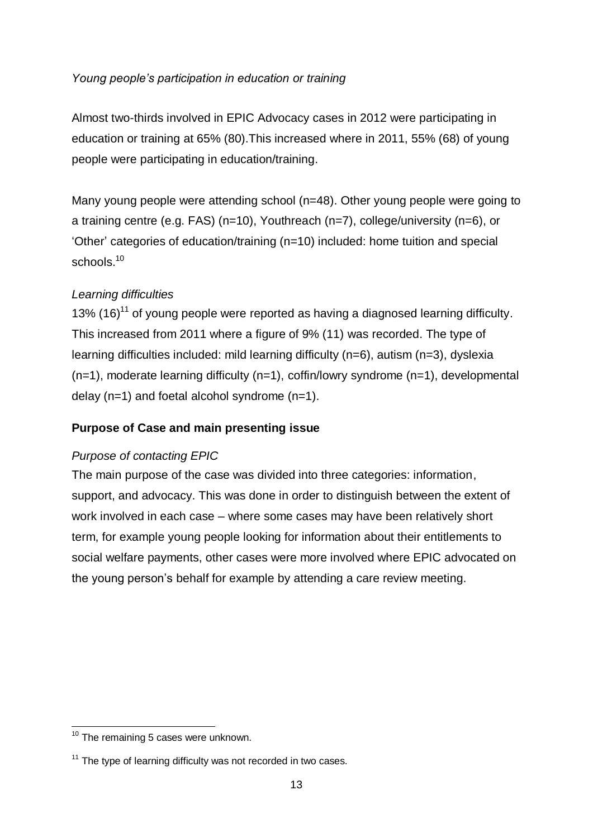#### <span id="page-16-0"></span>*Young people's participation in education or training*

Almost two-thirds involved in EPIC Advocacy cases in 2012 were participating in education or training at 65% (80).This increased where in 2011, 55% (68) of young people were participating in education/training.

Many young people were attending school (n=48). Other young people were going to a training centre (e.g. FAS) (n=10), Youthreach (n=7), college/university (n=6), or 'Other' categories of education/training (n=10) included: home tuition and special schools.<sup>10</sup>

#### <span id="page-16-1"></span>*Learning difficulties*

13%  $(16)^{11}$  of young people were reported as having a diagnosed learning difficulty. This increased from 2011 where a figure of 9% (11) was recorded. The type of learning difficulties included: mild learning difficulty (n=6), autism (n=3), dyslexia  $(n=1)$ , moderate learning difficulty  $(n=1)$ , coffin/lowry syndrome  $(n=1)$ , developmental delay (n=1) and foetal alcohol syndrome (n=1).

#### <span id="page-16-2"></span>**Purpose of Case and main presenting issue**

#### <span id="page-16-3"></span>*Purpose of contacting EPIC*

The main purpose of the case was divided into three categories: information, support, and advocacy. This was done in order to distinguish between the extent of work involved in each case – where some cases may have been relatively short term, for example young people looking for information about their entitlements to social welfare payments, other cases were more involved where EPIC advocated on the young person's behalf for example by attending a care review meeting.

 $\overline{\phantom{a}}$  $10$  The remaining 5 cases were unknown.

 $11$  The type of learning difficulty was not recorded in two cases.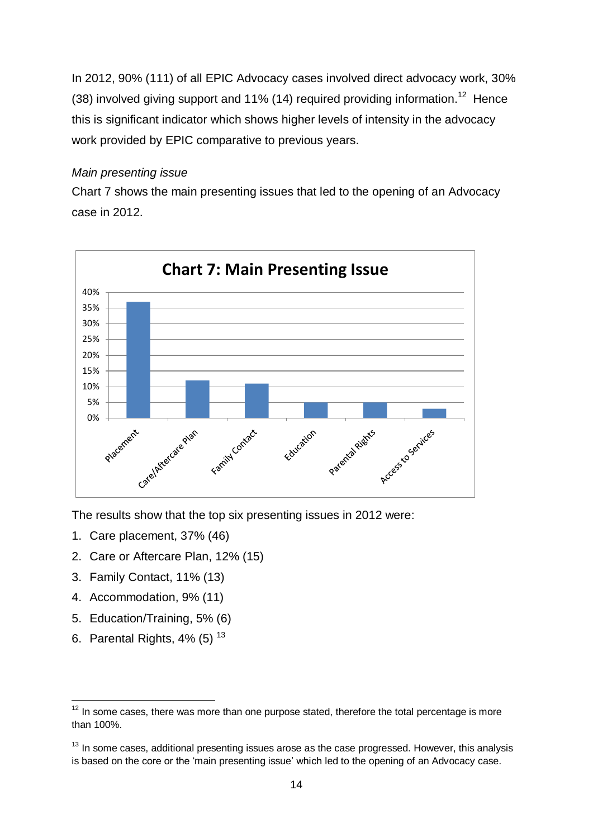In 2012, 90% (111) of all EPIC Advocacy cases involved direct advocacy work, 30% (38) involved giving support and 11% (14) required providing information.<sup>12</sup> Hence this is significant indicator which shows higher levels of intensity in the advocacy work provided by EPIC comparative to previous years.

#### <span id="page-17-0"></span>*Main presenting issue*

Chart 7 shows the main presenting issues that led to the opening of an Advocacy case in 2012.



The results show that the top six presenting issues in 2012 were:

- 1. Care placement, 37% (46)
- 2. Care or Aftercare Plan, 12% (15)
- 3. Family Contact, 11% (13)
- 4. Accommodation, 9% (11)
- 5. Education/Training, 5% (6)
- 6. Parental Rights,  $4\%$  (5)  $^{13}$

**.** 

 $12$  In some cases, there was more than one purpose stated, therefore the total percentage is more than 100%.

 $13$  In some cases, additional presenting issues arose as the case progressed. However, this analysis is based on the core or the 'main presenting issue' which led to the opening of an Advocacy case.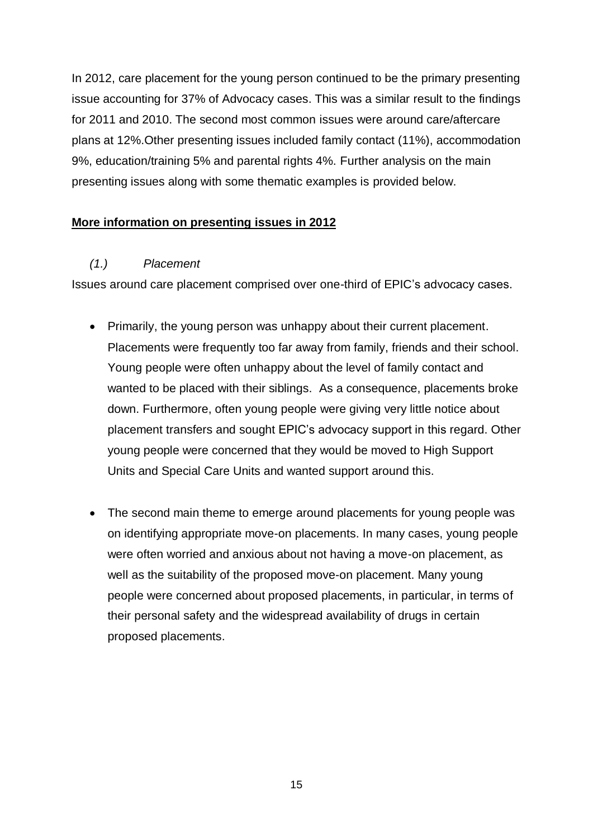In 2012, care placement for the young person continued to be the primary presenting issue accounting for 37% of Advocacy cases. This was a similar result to the findings for 2011 and 2010. The second most common issues were around care/aftercare plans at 12%.Other presenting issues included family contact (11%), accommodation 9%, education/training 5% and parental rights 4%. Further analysis on the main presenting issues along with some thematic examples is provided below.

#### **More information on presenting issues in 2012**

#### *(1.) Placement*

Issues around care placement comprised over one-third of EPIC's advocacy cases.

- Primarily, the young person was unhappy about their current placement. Placements were frequently too far away from family, friends and their school. Young people were often unhappy about the level of family contact and wanted to be placed with their siblings. As a consequence, placements broke down. Furthermore, often young people were giving very little notice about placement transfers and sought EPIC's advocacy support in this regard. Other young people were concerned that they would be moved to High Support Units and Special Care Units and wanted support around this.
- The second main theme to emerge around placements for young people was on identifying appropriate move-on placements. In many cases, young people were often worried and anxious about not having a move-on placement, as well as the suitability of the proposed move-on placement. Many young people were concerned about proposed placements, in particular, in terms of their personal safety and the widespread availability of drugs in certain proposed placements.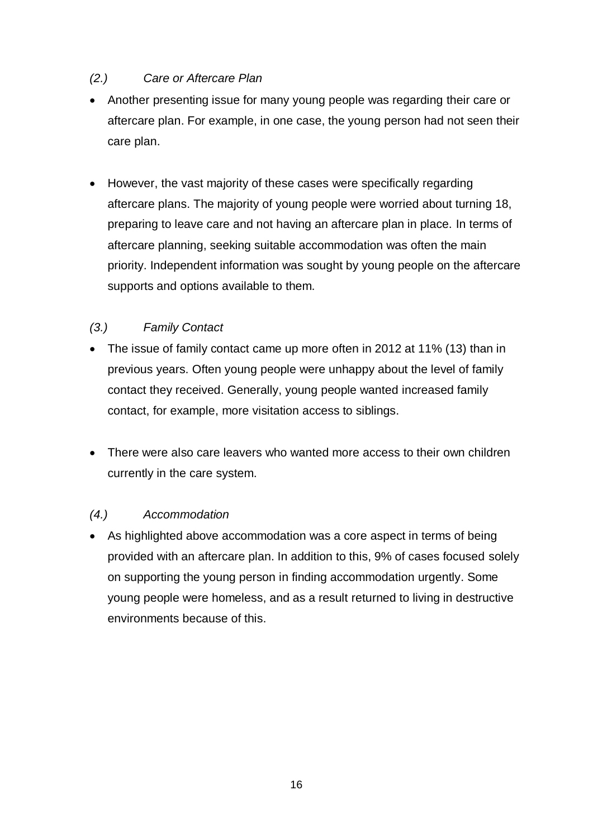#### *(2.) Care or Aftercare Plan*

- Another presenting issue for many young people was regarding their care or aftercare plan. For example, in one case, the young person had not seen their care plan.
- However, the vast majority of these cases were specifically regarding aftercare plans. The majority of young people were worried about turning 18, preparing to leave care and not having an aftercare plan in place. In terms of aftercare planning, seeking suitable accommodation was often the main priority. Independent information was sought by young people on the aftercare supports and options available to them.

### *(3.) Family Contact*

- The issue of family contact came up more often in 2012 at 11% (13) than in previous years. Often young people were unhappy about the level of family contact they received. Generally, young people wanted increased family contact, for example, more visitation access to siblings.
- There were also care leavers who wanted more access to their own children currently in the care system.

#### *(4.) Accommodation*

 As highlighted above accommodation was a core aspect in terms of being provided with an aftercare plan. In addition to this, 9% of cases focused solely on supporting the young person in finding accommodation urgently. Some young people were homeless, and as a result returned to living in destructive environments because of this.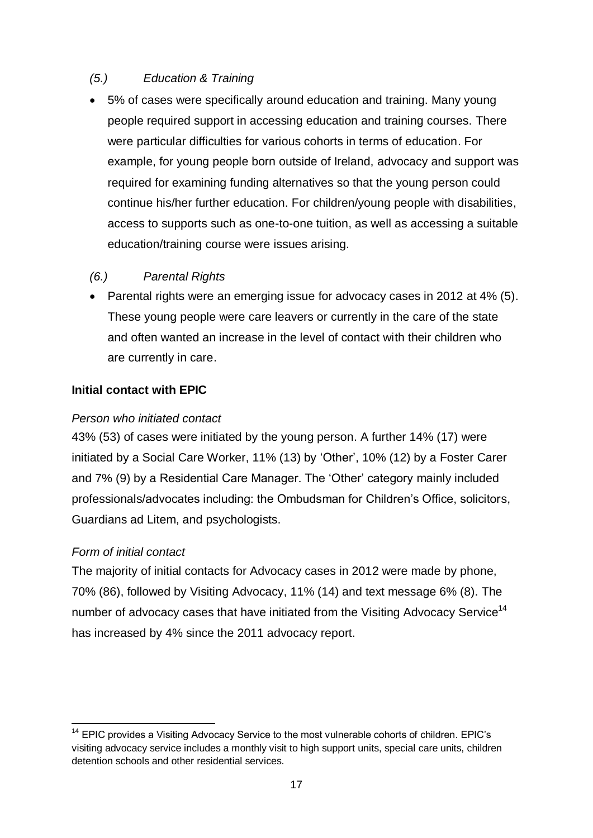#### *(5.) Education & Training*

 5% of cases were specifically around education and training. Many young people required support in accessing education and training courses. There were particular difficulties for various cohorts in terms of education. For example, for young people born outside of Ireland, advocacy and support was required for examining funding alternatives so that the young person could continue his/her further education. For children/young people with disabilities, access to supports such as one-to-one tuition, as well as accessing a suitable education/training course were issues arising.

#### *(6.) Parental Rights*

 Parental rights were an emerging issue for advocacy cases in 2012 at 4% (5). These young people were care leavers or currently in the care of the state and often wanted an increase in the level of contact with their children who are currently in care.

#### <span id="page-20-0"></span>**Initial contact with EPIC**

#### <span id="page-20-1"></span>*Person who initiated contact*

43% (53) of cases were initiated by the young person. A further 14% (17) were initiated by a Social Care Worker, 11% (13) by 'Other', 10% (12) by a Foster Carer and 7% (9) by a Residential Care Manager. The 'Other' category mainly included professionals/advocates including: the Ombudsman for Children's Office, solicitors, Guardians ad Litem, and psychologists.

#### <span id="page-20-2"></span>*Form of initial contact*

The majority of initial contacts for Advocacy cases in 2012 were made by phone, 70% (86), followed by Visiting Advocacy, 11% (14) and text message 6% (8). The number of advocacy cases that have initiated from the Visiting Advocacy Service<sup>14</sup> has increased by 4% since the 2011 advocacy report.

**<sup>.</sup>**  $14$  EPIC provides a Visiting Advocacy Service to the most vulnerable cohorts of children. EPIC's visiting advocacy service includes a monthly visit to high support units, special care units, children detention schools and other residential services.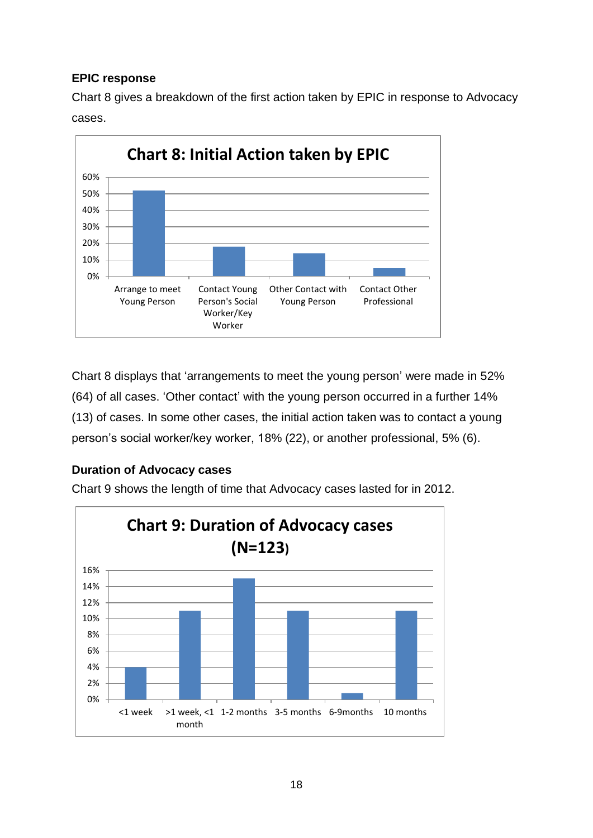#### <span id="page-21-0"></span>**EPIC response**

Chart 8 gives a breakdown of the first action taken by EPIC in response to Advocacy cases.



Chart 8 displays that 'arrangements to meet the young person' were made in 52% (64) of all cases. 'Other contact' with the young person occurred in a further 14% (13) of cases. In some other cases, the initial action taken was to contact a young person's social worker/key worker, 18% (22), or another professional, 5% (6).

#### <span id="page-21-1"></span>**Duration of Advocacy cases**

Chart 9 shows the length of time that Advocacy cases lasted for in 2012.

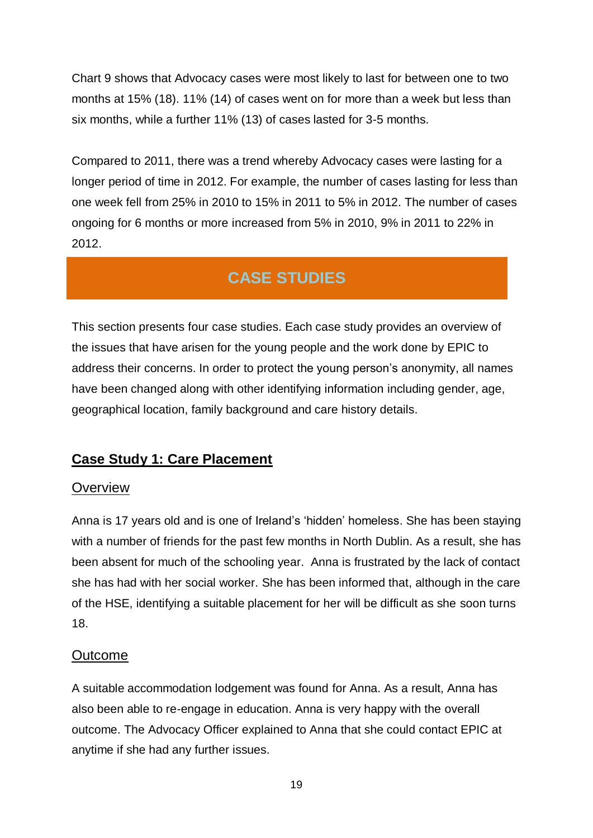Chart 9 shows that Advocacy cases were most likely to last for between one to two months at 15% (18). 11% (14) of cases went on for more than a week but less than six months, while a further 11% (13) of cases lasted for 3-5 months.

Compared to 2011, there was a trend whereby Advocacy cases were lasting for a longer period of time in 2012. For example, the number of cases lasting for less than one week fell from 25% in 2010 to 15% in 2011 to 5% in 2012. The number of cases ongoing for 6 months or more increased from 5% in 2010, 9% in 2011 to 22% in 2012.

## <span id="page-22-0"></span>**CASE STUDIES**

This section presents four case studies. Each case study provides an overview of the issues that have arisen for the young people and the work done by EPIC to address their concerns. In order to protect the young person's anonymity, all names have been changed along with other identifying information including gender, age, geographical location, family background and care history details.

## **Case Study 1: Care Placement**

#### **Overview**

Anna is 17 years old and is one of Ireland's 'hidden' homeless. She has been staying with a number of friends for the past few months in North Dublin. As a result, she has been absent for much of the schooling year. Anna is frustrated by the lack of contact she has had with her social worker. She has been informed that, although in the care of the HSE, identifying a suitable placement for her will be difficult as she soon turns 18.

### **Outcome**

A suitable accommodation lodgement was found for Anna. As a result, Anna has also been able to re-engage in education. Anna is very happy with the overall outcome. The Advocacy Officer explained to Anna that she could contact EPIC at anytime if she had any further issues.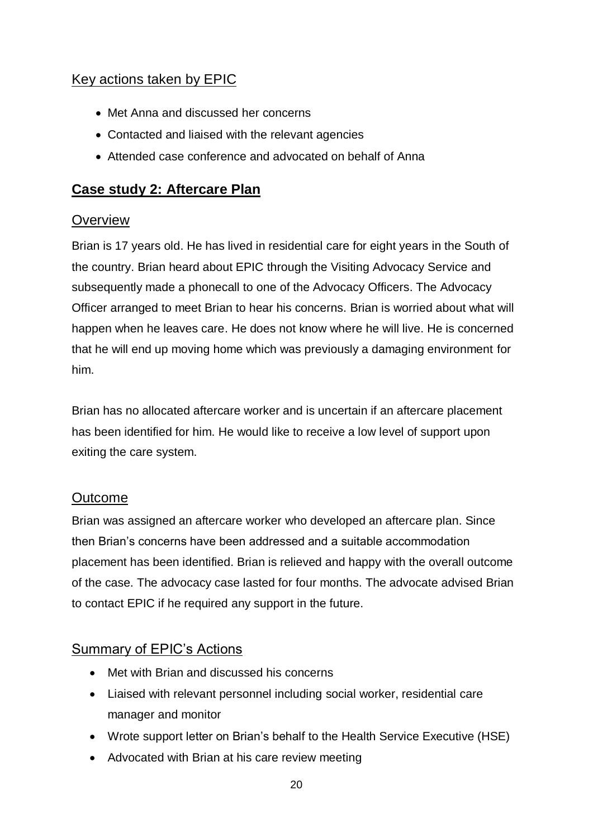### Key actions taken by EPIC

- Met Anna and discussed her concerns
- Contacted and liaised with the relevant agencies
- Attended case conference and advocated on behalf of Anna

### <span id="page-23-0"></span>**Case study 2: Aftercare Plan**

#### **Overview**

Brian is 17 years old. He has lived in residential care for eight years in the South of the country. Brian heard about EPIC through the Visiting Advocacy Service and subsequently made a phonecall to one of the Advocacy Officers. The Advocacy Officer arranged to meet Brian to hear his concerns. Brian is worried about what will happen when he leaves care. He does not know where he will live. He is concerned that he will end up moving home which was previously a damaging environment for him.

Brian has no allocated aftercare worker and is uncertain if an aftercare placement has been identified for him. He would like to receive a low level of support upon exiting the care system.

#### **Outcome**

Brian was assigned an aftercare worker who developed an aftercare plan. Since then Brian's concerns have been addressed and a suitable accommodation placement has been identified. Brian is relieved and happy with the overall outcome of the case. The advocacy case lasted for four months. The advocate advised Brian to contact EPIC if he required any support in the future.

### Summary of EPIC's Actions

- Met with Brian and discussed his concerns
- Liaised with relevant personnel including social worker, residential care manager and monitor
- Wrote support letter on Brian's behalf to the Health Service Executive (HSE)
- Advocated with Brian at his care review meeting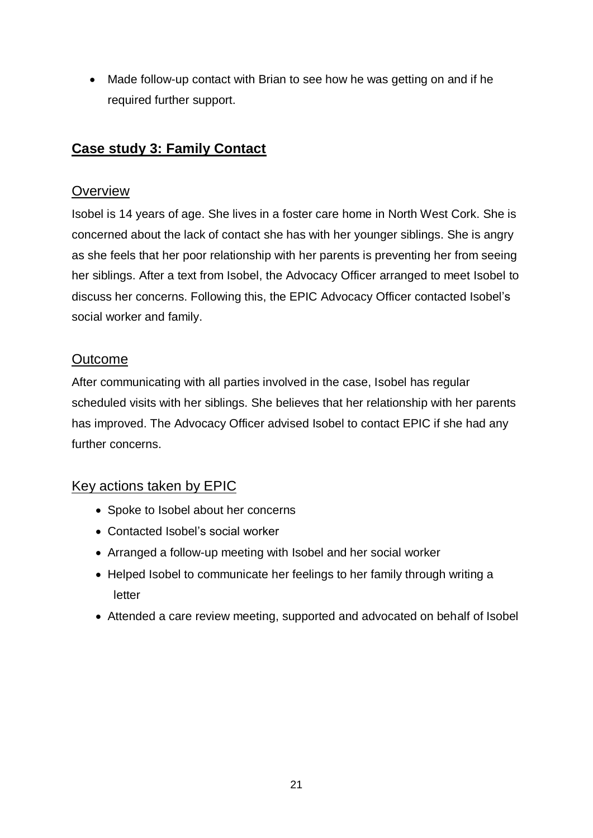• Made follow-up contact with Brian to see how he was getting on and if he required further support.

## <span id="page-24-0"></span>**Case study 3: Family Contact**

#### **Overview**

Isobel is 14 years of age. She lives in a foster care home in North West Cork. She is concerned about the lack of contact she has with her younger siblings. She is angry as she feels that her poor relationship with her parents is preventing her from seeing her siblings. After a text from Isobel, the Advocacy Officer arranged to meet Isobel to discuss her concerns. Following this, the EPIC Advocacy Officer contacted Isobel's social worker and family.

#### **Outcome**

After communicating with all parties involved in the case, Isobel has regular scheduled visits with her siblings. She believes that her relationship with her parents has improved. The Advocacy Officer advised Isobel to contact EPIC if she had any further concerns.

#### Key actions taken by EPIC

- Spoke to Isobel about her concerns
- Contacted Isobel's social worker
- Arranged a follow-up meeting with Isobel and her social worker
- Helped Isobel to communicate her feelings to her family through writing a letter
- Attended a care review meeting, supported and advocated on behalf of Isobel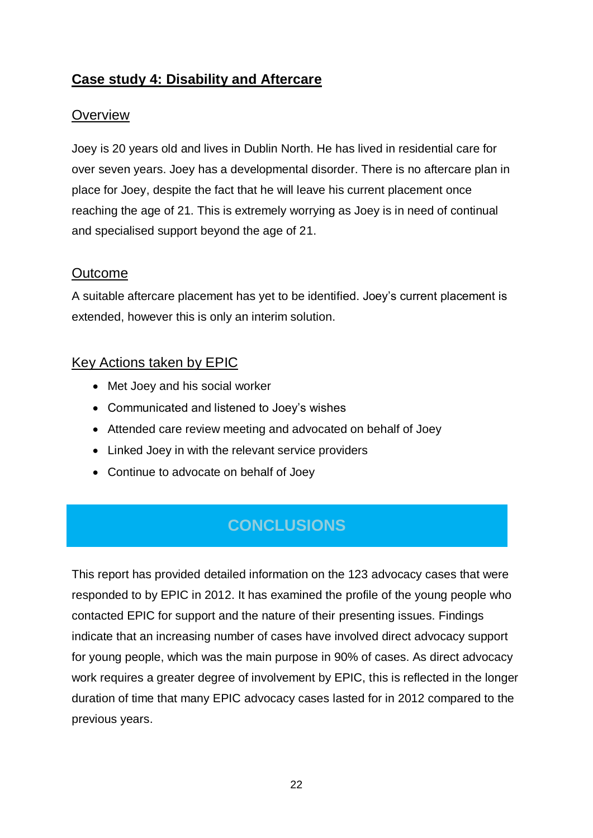## <span id="page-25-0"></span>**Case study 4: Disability and Aftercare**

#### **Overview**

Joey is 20 years old and lives in Dublin North. He has lived in residential care for over seven years. Joey has a developmental disorder. There is no aftercare plan in place for Joey, despite the fact that he will leave his current placement once reaching the age of 21. This is extremely worrying as Joey is in need of continual and specialised support beyond the age of 21.

#### Outcome

A suitable aftercare placement has yet to be identified. Joey's current placement is extended, however this is only an interim solution.

### Key Actions taken by EPIC

- Met Joey and his social worker
- Communicated and listened to Joey's wishes
- Attended care review meeting and advocated on behalf of Joey
- Linked Joey in with the relevant service providers
- Continue to advocate on behalf of Joey

## <span id="page-25-1"></span>**CONCLUSIONS**

This report has provided detailed information on the 123 advocacy cases that were responded to by EPIC in 2012. It has examined the profile of the young people who contacted EPIC for support and the nature of their presenting issues. Findings indicate that an increasing number of cases have involved direct advocacy support for young people, which was the main purpose in 90% of cases. As direct advocacy work requires a greater degree of involvement by EPIC, this is reflected in the longer duration of time that many EPIC advocacy cases lasted for in 2012 compared to the previous years.